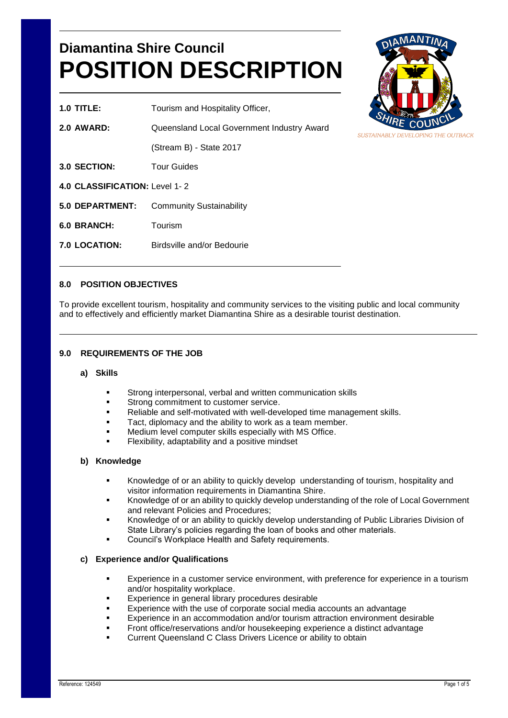# **Diamantina Shire Council POSITION DESCRIPTION**



**1.0 TITLE:** Tourism and Hospitality Officer, **2.0 AWARD:** Queensland Local Government Industry Award (Stream B) - State 2017 **3.0 SECTION:** Tour Guides **4.0 CLASSIFICATION:** Level 1- 2 **5.0 DEPARTMENT:** Community Sustainability **6.0 BRANCH:** Tourism **7.0 LOCATION:** Birdsville and/or Bedourie

# **8.0 POSITION OBJECTIVES**

To provide excellent tourism, hospitality and community services to the visiting public and local community and to effectively and efficiently market Diamantina Shire as a desirable tourist destination.

## **9.0 REQUIREMENTS OF THE JOB**

#### **a) Skills**

- Strong interpersonal, verbal and written communication skills
- Strong commitment to customer service.
- Reliable and self-motivated with well-developed time management skills.
- Tact, diplomacy and the ability to work as a team member.
- Medium level computer skills especially with MS Office.
- Flexibility, adaptability and a positive mindset

#### **b) Knowledge**

- Knowledge of or an ability to quickly develop understanding of tourism, hospitality and visitor information requirements in Diamantina Shire.
- Knowledge of or an ability to quickly develop understanding of the role of Local Government and relevant Policies and Procedures;
- Knowledge of or an ability to quickly develop understanding of Public Libraries Division of State Library's policies regarding the loan of books and other materials.
- Council's Workplace Health and Safety requirements.

## **c) Experience and/or Qualifications**

- Experience in a customer service environment, with preference for experience in a tourism and/or hospitality workplace.
- Experience in general library procedures desirable
- Experience with the use of corporate social media accounts an advantage
- Experience in an accommodation and/or tourism attraction environment desirable
- Front office/reservations and/or housekeeping experience a distinct advantage
- Current Queensland C Class Drivers Licence or ability to obtain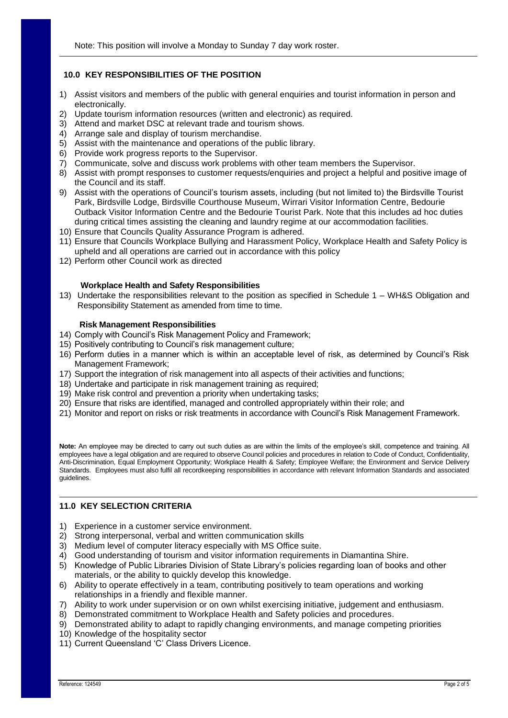## **10.0 KEY RESPONSIBILITIES OF THE POSITION**

- 1) Assist visitors and members of the public with general enquiries and tourist information in person and electronically.
- 2) Update tourism information resources (written and electronic) as required.
- 3) Attend and market DSC at relevant trade and tourism shows.
- 4) Arrange sale and display of tourism merchandise.
- 5) Assist with the maintenance and operations of the public library.
- 6) Provide work progress reports to the Supervisor.
- 7) Communicate, solve and discuss work problems with other team members the Supervisor.
- 8) Assist with prompt responses to customer requests/enquiries and project a helpful and positive image of the Council and its staff.
- 9) Assist with the operations of Council's tourism assets, including (but not limited to) the Birdsville Tourist Park, Birdsville Lodge, Birdsville Courthouse Museum, Wirrari Visitor Information Centre, Bedourie Outback Visitor Information Centre and the Bedourie Tourist Park. Note that this includes ad hoc duties during critical times assisting the cleaning and laundry regime at our accommodation facilities.
- 10) Ensure that Councils Quality Assurance Program is adhered.
- 11) Ensure that Councils Workplace Bullying and Harassment Policy, Workplace Health and Safety Policy is upheld and all operations are carried out in accordance with this policy
- 12) Perform other Council work as directed

## **Workplace Health and Safety Responsibilities**

13) Undertake the responsibilities relevant to the position as specified in Schedule 1 – WH&S Obligation and Responsibility Statement as amended from time to time.

#### **Risk Management Responsibilities**

- 14) Comply with Council's Risk Management Policy and Framework;
- 15) Positively contributing to Council's risk management culture;
- 16) Perform duties in a manner which is within an acceptable level of risk, as determined by Council's Risk Management Framework;
- 17) Support the integration of risk management into all aspects of their activities and functions;
- 18) Undertake and participate in risk management training as required;
- 19) Make risk control and prevention a priority when undertaking tasks;
- 20) Ensure that risks are identified, managed and controlled appropriately within their role; and
- 21) Monitor and report on risks or risk treatments in accordance with Council's Risk Management Framework.

**Note:** An employee may be directed to carry out such duties as are within the limits of the employee's skill, competence and training. All employees have a legal obligation and are required to observe Council policies and procedures in relation to Code of Conduct, Confidentiality, Anti-Discrimination, Equal Employment Opportunity; Workplace Health & Safety; Employee Welfare; the Environment and Service Delivery Standards. Employees must also fulfil all recordkeeping responsibilities in accordance with relevant Information Standards and associated guidelines.

## **11.0 KEY SELECTION CRITERIA**

- 1) Experience in a customer service environment.
- 2) Strong interpersonal, verbal and written communication skills
- 3) Medium level of computer literacy especially with MS Office suite.
- 4) Good understanding of tourism and visitor information requirements in Diamantina Shire.
- 5) Knowledge of Public Libraries Division of State Library's policies regarding loan of books and other materials, or the ability to quickly develop this knowledge.
- 6) Ability to operate effectively in a team, contributing positively to team operations and working relationships in a friendly and flexible manner.
- 7) Ability to work under supervision or on own whilst exercising initiative, judgement and enthusiasm.
- 8) Demonstrated commitment to Workplace Health and Safety policies and procedures.
- 9) Demonstrated ability to adapt to rapidly changing environments, and manage competing priorities
- 10) Knowledge of the hospitality sector
- 11) Current Queensland 'C' Class Drivers Licence.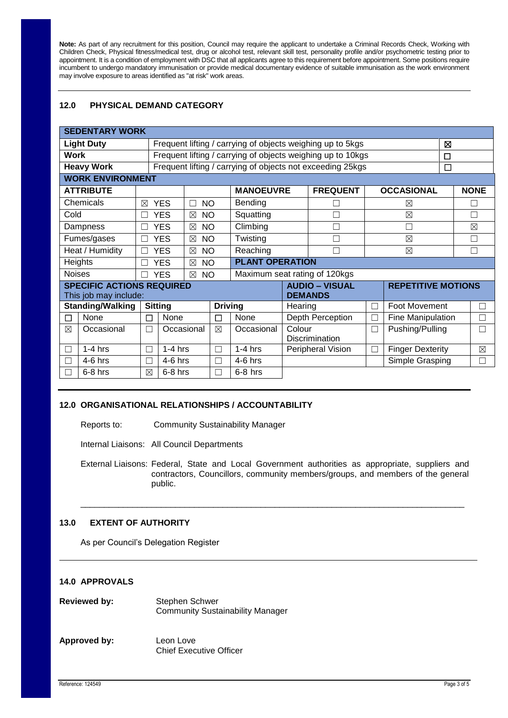**Note:** As part of any recruitment for this position, Council may require the applicant to undertake a Criminal Records Check, Working with Children Check, Physical fitness/medical test, drug or alcohol test, relevant skill test, personality profile and/or psychometric testing prior to appointment. It is a condition of employment with DSC that all applicants agree to this requirement before appointment. Some positions require incumbent to undergo mandatory immunisation or provide medical documentary evidence of suitable immunisation as the work environment may involve exposure to areas identified as "at risk" work areas.

# **12.0 PHYSICAL DEMAND CATEGORY**

| <b>SEDENTARY WORK</b>            |                |                                                             |                          |                        |                                                            |                   |                  |                           |                         |             |             |  |
|----------------------------------|----------------|-------------------------------------------------------------|--------------------------|------------------------|------------------------------------------------------------|-------------------|------------------|---------------------------|-------------------------|-------------|-------------|--|
| <b>Light Duty</b>                |                | Frequent lifting / carrying of objects weighing up to 5kgs  |                          |                        |                                                            |                   |                  |                           |                         |             | ⊠           |  |
| Work                             |                | Frequent lifting / carrying of objects weighing up to 10kgs |                          |                        |                                                            |                   |                  |                           |                         |             |             |  |
| <b>Heavy Work</b>                |                |                                                             |                          |                        | Frequent lifting / carrying of objects not exceeding 25kgs |                   |                  | $\Box$                    |                         |             |             |  |
| <b>WORK ENVIRONMENT</b>          |                |                                                             |                          |                        |                                                            |                   |                  |                           |                         |             |             |  |
| <b>ATTRIBUTE</b>                 |                |                                                             |                          |                        | <b>MANOEUVRE</b>                                           |                   | <b>FREQUENT</b>  |                           | <b>OCCASIONAL</b>       |             | <b>NONE</b> |  |
| Chemicals                        | ⊠              | <b>YES</b>                                                  | <b>NO</b><br>П           |                        | Bending                                                    |                   |                  |                           | ⊠                       |             | Г           |  |
| Cold                             |                | <b>YES</b>                                                  | $\boxtimes$              | Squatting<br><b>NO</b> |                                                            |                   |                  |                           | $\boxtimes$             | П           |             |  |
| Dampness                         |                | <b>YES</b>                                                  | <b>NO</b><br>$\boxtimes$ |                        | Climbing                                                   |                   |                  |                           | Г                       | $\boxtimes$ |             |  |
| Fumes/gases                      | $\perp$        | <b>YES</b>                                                  | <b>NO</b><br>$\boxtimes$ |                        | Twisting                                                   |                   |                  | $\boxtimes$               |                         | П           |             |  |
| Heat / Humidity                  |                | <b>YES</b>                                                  |                          | <b>NO</b>              | Reaching                                                   |                   |                  | $\boxtimes$               |                         |             | П           |  |
| Heights                          |                | <b>YES</b>                                                  | <b>NO</b><br>$\boxtimes$ |                        | <b>PLANT OPERATION</b>                                     |                   |                  |                           |                         |             |             |  |
| <b>Noises</b>                    | <b>YES</b>     |                                                             | <b>NO</b><br>$\boxtimes$ |                        | Maximum seat rating of 120kgs                              |                   |                  |                           |                         |             |             |  |
| <b>SPECIFIC ACTIONS REQUIRED</b> |                |                                                             |                          |                        | <b>AUDIO - VISUAL</b>                                      |                   |                  | <b>REPETITIVE MOTIONS</b> |                         |             |             |  |
| This job may include:            |                |                                                             |                          |                        |                                                            | <b>DEMANDS</b>    |                  |                           |                         |             |             |  |
| <b>Standing/Walking</b>          | <b>Sitting</b> |                                                             |                          | <b>Driving</b>         |                                                            | Hearing           |                  | П                         | Foot Movement           |             | П           |  |
| None<br>П                        | П              | None                                                        |                          | П                      | None                                                       |                   | Depth Perception | П                         | Fine Manipulation       |             | П           |  |
| Occasional<br>$\boxtimes$        | ┌              |                                                             | Occasional               | ⊠                      | Occasional                                                 | Colour            |                  | $\Box$                    | Pushing/Pulling         |             |             |  |
|                                  |                |                                                             |                          |                        |                                                            |                   | Discrimination   |                           |                         |             |             |  |
| $1-4$ hrs                        | Г              | $1-4$ hrs                                                   |                          | П                      | $1-4$ hrs                                                  | Peripheral Vision |                  | $\Box$                    | <b>Finger Dexterity</b> |             | $\boxtimes$ |  |
| $4-6$ hrs                        |                | $4-6$ hrs                                                   |                          | ┑                      | $4-6$ hrs                                                  |                   |                  |                           | Simple Grasping         |             | Г           |  |
| $6-8$ hrs                        | ⊠              | $6-8$ hrs                                                   |                          | П                      | $6-8$ hrs                                                  |                   |                  |                           |                         |             |             |  |

## **12.0 ORGANISATIONAL RELATIONSHIPS / ACCOUNTABILITY**

Reports to: Community Sustainability Manager

Internal Liaisons: All Council Departments

External Liaisons: Federal, State and Local Government authorities as appropriate, suppliers and contractors, Councillors, community members/groups, and members of the general public.

\_\_\_\_\_\_\_\_\_\_\_\_\_\_\_\_\_\_\_\_\_\_\_\_\_\_\_\_\_\_\_\_\_\_\_\_\_\_\_\_\_\_\_\_\_\_\_\_\_\_\_\_\_\_\_\_\_\_\_\_\_\_\_\_\_\_\_\_\_\_\_\_\_\_\_\_\_\_\_\_\_

# **13.0 EXTENT OF AUTHORITY**

As per Council's Delegation Register

## **14.0 APPROVALS**

| <b>Reviewed by:</b> | Stephen Schwer<br><b>Community Sustainability Manager</b> |  |  |  |  |
|---------------------|-----------------------------------------------------------|--|--|--|--|
| Approved by:        | Leon Love<br><b>Chief Executive Officer</b>               |  |  |  |  |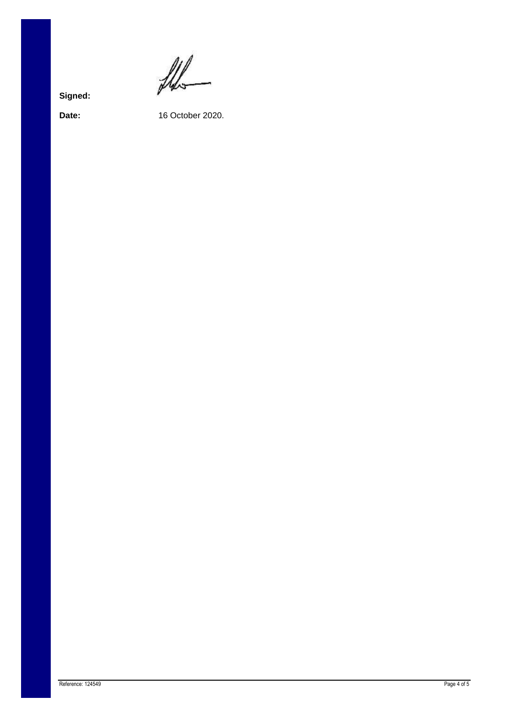$\frac{1}{2}$ 

**Signed:**

**Date:** 16 October 2020.